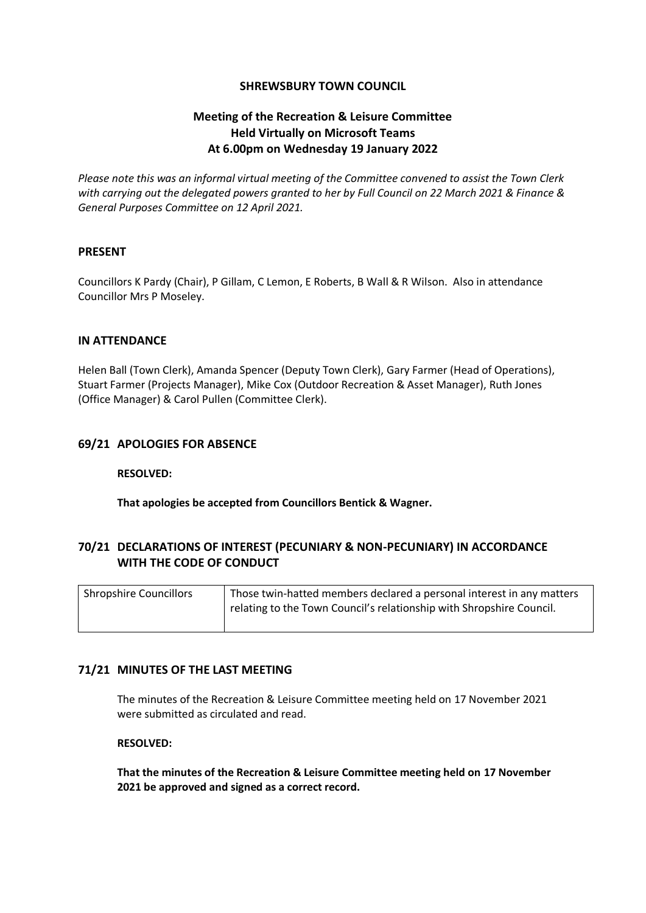## **SHREWSBURY TOWN COUNCIL**

# **Meeting of the Recreation & Leisure Committee Held Virtually on Microsoft Teams At 6.00pm on Wednesday 19 January 2022**

*Please note this was an informal virtual meeting of the Committee convened to assist the Town Clerk with carrying out the delegated powers granted to her by Full Council on 22 March 2021 & Finance & General Purposes Committee on 12 April 2021.*

## **PRESENT**

Councillors K Pardy (Chair), P Gillam, C Lemon, E Roberts, B Wall & R Wilson. Also in attendance Councillor Mrs P Moseley.

### **IN ATTENDANCE**

Helen Ball (Town Clerk), Amanda Spencer (Deputy Town Clerk), Gary Farmer (Head of Operations), Stuart Farmer (Projects Manager), Mike Cox (Outdoor Recreation & Asset Manager), Ruth Jones (Office Manager) & Carol Pullen (Committee Clerk).

## **69/21 APOLOGIES FOR ABSENCE**

### **RESOLVED:**

**That apologies be accepted from Councillors Bentick & Wagner.**

# **70/21 DECLARATIONS OF INTEREST (PECUNIARY & NON-PECUNIARY) IN ACCORDANCE WITH THE CODE OF CONDUCT**

| <b>Shropshire Councillors</b> | Those twin-hatted members declared a personal interest in any matters |
|-------------------------------|-----------------------------------------------------------------------|
|                               | relating to the Town Council's relationship with Shropshire Council.  |
|                               |                                                                       |

### **71/21 MINUTES OF THE LAST MEETING**

The minutes of the Recreation & Leisure Committee meeting held on 17 November 2021 were submitted as circulated and read.

## **RESOLVED:**

**That the minutes of the Recreation & Leisure Committee meeting held on 17 November 2021 be approved and signed as a correct record.**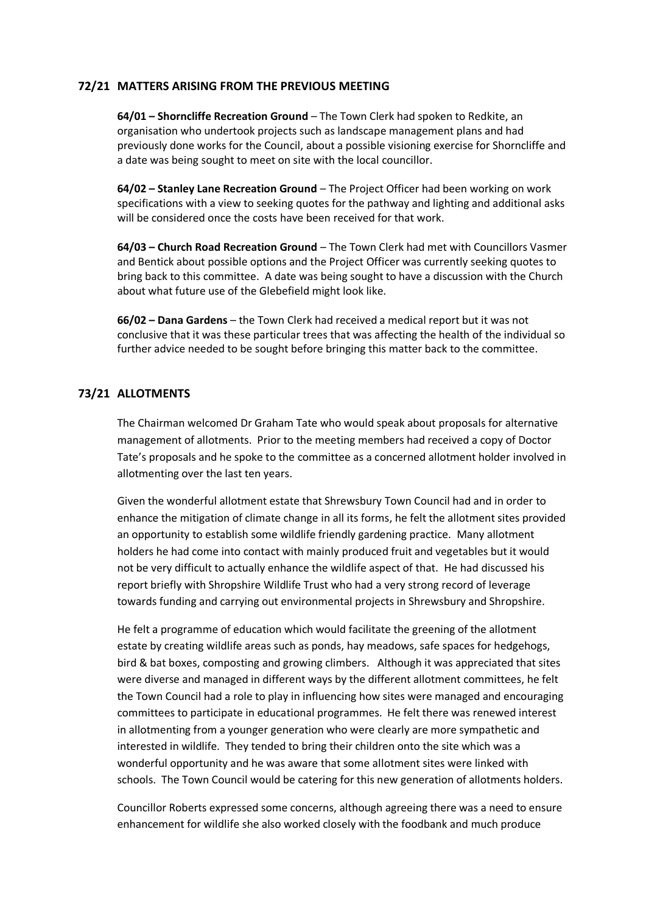## **72/21 MATTERS ARISING FROM THE PREVIOUS MEETING**

**64/01 – Shorncliffe Recreation Ground** – The Town Clerk had spoken to Redkite, an organisation who undertook projects such as landscape management plans and had previously done works for the Council, about a possible visioning exercise for Shorncliffe and a date was being sought to meet on site with the local councillor.

**64/02 – Stanley Lane Recreation Ground** – The Project Officer had been working on work specifications with a view to seeking quotes for the pathway and lighting and additional asks will be considered once the costs have been received for that work.

**64/03 – Church Road Recreation Ground** – The Town Clerk had met with Councillors Vasmer and Bentick about possible options and the Project Officer was currently seeking quotes to bring back to this committee. A date was being sought to have a discussion with the Church about what future use of the Glebefield might look like.

**66/02 – Dana Gardens** – the Town Clerk had received a medical report but it was not conclusive that it was these particular trees that was affecting the health of the individual so further advice needed to be sought before bringing this matter back to the committee.

## **73/21 ALLOTMENTS**

The Chairman welcomed Dr Graham Tate who would speak about proposals for alternative management of allotments. Prior to the meeting members had received a copy of Doctor Tate's proposals and he spoke to the committee as a concerned allotment holder involved in allotmenting over the last ten years.

Given the wonderful allotment estate that Shrewsbury Town Council had and in order to enhance the mitigation of climate change in all its forms, he felt the allotment sites provided an opportunity to establish some wildlife friendly gardening practice. Many allotment holders he had come into contact with mainly produced fruit and vegetables but it would not be very difficult to actually enhance the wildlife aspect of that. He had discussed his report briefly with Shropshire Wildlife Trust who had a very strong record of leverage towards funding and carrying out environmental projects in Shrewsbury and Shropshire.

He felt a programme of education which would facilitate the greening of the allotment estate by creating wildlife areas such as ponds, hay meadows, safe spaces for hedgehogs, bird & bat boxes, composting and growing climbers. Although it was appreciated that sites were diverse and managed in different ways by the different allotment committees, he felt the Town Council had a role to play in influencing how sites were managed and encouraging committees to participate in educational programmes. He felt there was renewed interest in allotmenting from a younger generation who were clearly are more sympathetic and interested in wildlife. They tended to bring their children onto the site which was a wonderful opportunity and he was aware that some allotment sites were linked with schools. The Town Council would be catering for this new generation of allotments holders.

Councillor Roberts expressed some concerns, although agreeing there was a need to ensure enhancement for wildlife she also worked closely with the foodbank and much produce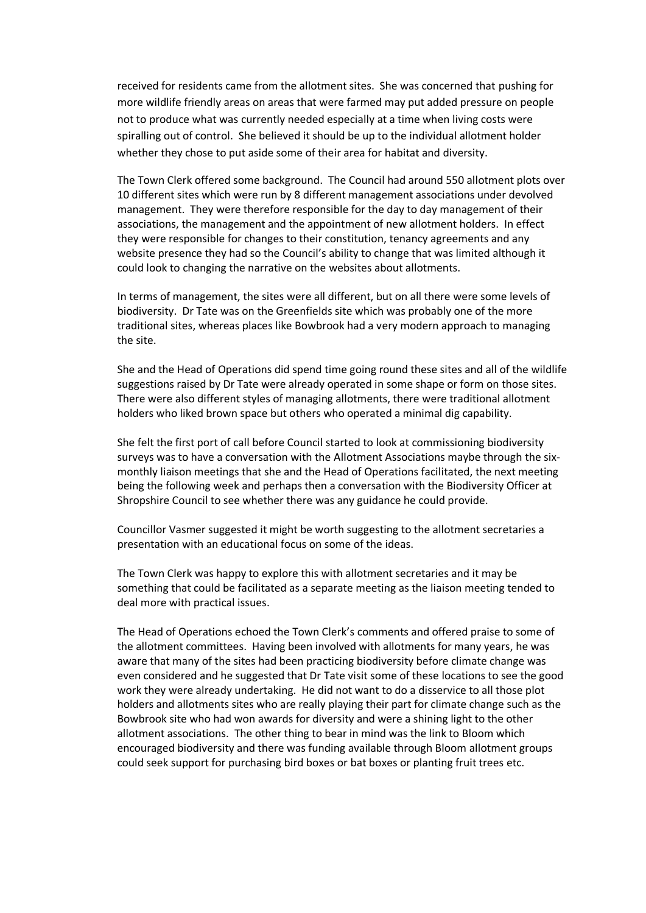received for residents came from the allotment sites. She was concerned that pushing for more wildlife friendly areas on areas that were farmed may put added pressure on people not to produce what was currently needed especially at a time when living costs were spiralling out of control. She believed it should be up to the individual allotment holder whether they chose to put aside some of their area for habitat and diversity.

The Town Clerk offered some background. The Council had around 550 allotment plots over 10 different sites which were run by 8 different management associations under devolved management. They were therefore responsible for the day to day management of their associations, the management and the appointment of new allotment holders. In effect they were responsible for changes to their constitution, tenancy agreements and any website presence they had so the Council's ability to change that was limited although it could look to changing the narrative on the websites about allotments.

In terms of management, the sites were all different, but on all there were some levels of biodiversity. Dr Tate was on the Greenfields site which was probably one of the more traditional sites, whereas places like Bowbrook had a very modern approach to managing the site.

She and the Head of Operations did spend time going round these sites and all of the wildlife suggestions raised by Dr Tate were already operated in some shape or form on those sites. There were also different styles of managing allotments, there were traditional allotment holders who liked brown space but others who operated a minimal dig capability.

She felt the first port of call before Council started to look at commissioning biodiversity surveys was to have a conversation with the Allotment Associations maybe through the sixmonthly liaison meetings that she and the Head of Operations facilitated, the next meeting being the following week and perhaps then a conversation with the Biodiversity Officer at Shropshire Council to see whether there was any guidance he could provide.

Councillor Vasmer suggested it might be worth suggesting to the allotment secretaries a presentation with an educational focus on some of the ideas.

The Town Clerk was happy to explore this with allotment secretaries and it may be something that could be facilitated as a separate meeting as the liaison meeting tended to deal more with practical issues.

The Head of Operations echoed the Town Clerk's comments and offered praise to some of the allotment committees. Having been involved with allotments for many years, he was aware that many of the sites had been practicing biodiversity before climate change was even considered and he suggested that Dr Tate visit some of these locations to see the good work they were already undertaking. He did not want to do a disservice to all those plot holders and allotments sites who are really playing their part for climate change such as the Bowbrook site who had won awards for diversity and were a shining light to the other allotment associations. The other thing to bear in mind was the link to Bloom which encouraged biodiversity and there was funding available through Bloom allotment groups could seek support for purchasing bird boxes or bat boxes or planting fruit trees etc.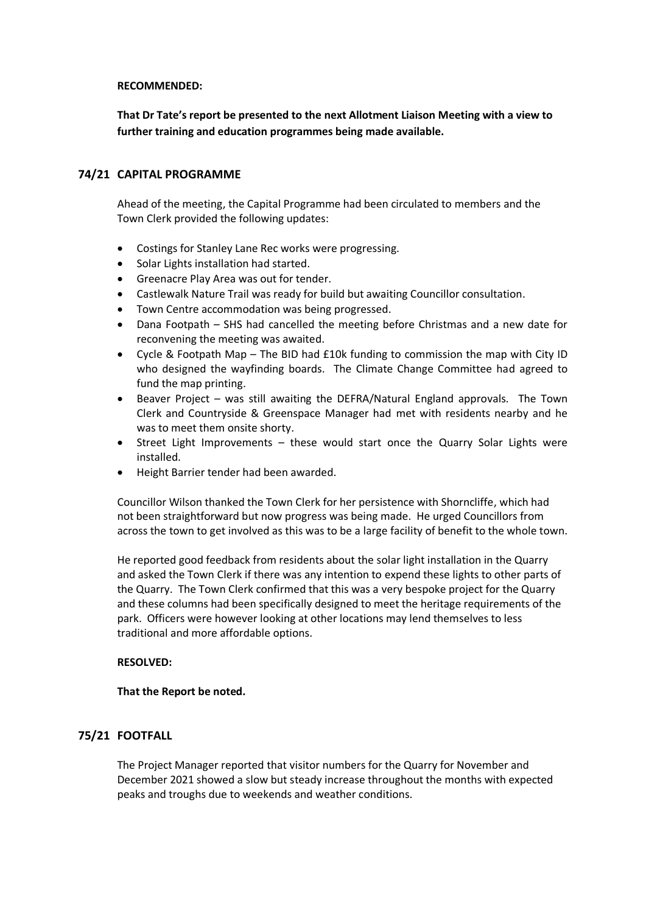#### **RECOMMENDED:**

**That Dr Tate's report be presented to the next Allotment Liaison Meeting with a view to further training and education programmes being made available.**

## **74/21 CAPITAL PROGRAMME**

Ahead of the meeting, the Capital Programme had been circulated to members and the Town Clerk provided the following updates:

- Costings for Stanley Lane Rec works were progressing.
- Solar Lights installation had started.
- Greenacre Play Area was out for tender.
- Castlewalk Nature Trail was ready for build but awaiting Councillor consultation.
- Town Centre accommodation was being progressed.
- Dana Footpath SHS had cancelled the meeting before Christmas and a new date for reconvening the meeting was awaited.
- Cycle & Footpath Map The BID had £10k funding to commission the map with City ID who designed the wayfinding boards. The Climate Change Committee had agreed to fund the map printing.
- Beaver Project was still awaiting the DEFRA/Natural England approvals. The Town Clerk and Countryside & Greenspace Manager had met with residents nearby and he was to meet them onsite shorty.
- Street Light Improvements these would start once the Quarry Solar Lights were installed.
- Height Barrier tender had been awarded.

Councillor Wilson thanked the Town Clerk for her persistence with Shorncliffe, which had not been straightforward but now progress was being made. He urged Councillors from across the town to get involved as this was to be a large facility of benefit to the whole town.

He reported good feedback from residents about the solar light installation in the Quarry and asked the Town Clerk if there was any intention to expend these lights to other parts of the Quarry. The Town Clerk confirmed that this was a very bespoke project for the Quarry and these columns had been specifically designed to meet the heritage requirements of the park. Officers were however looking at other locations may lend themselves to less traditional and more affordable options.

## **RESOLVED:**

## **That the Report be noted.**

# **75/21 FOOTFALL**

The Project Manager reported that visitor numbers for the Quarry for November and December 2021 showed a slow but steady increase throughout the months with expected peaks and troughs due to weekends and weather conditions.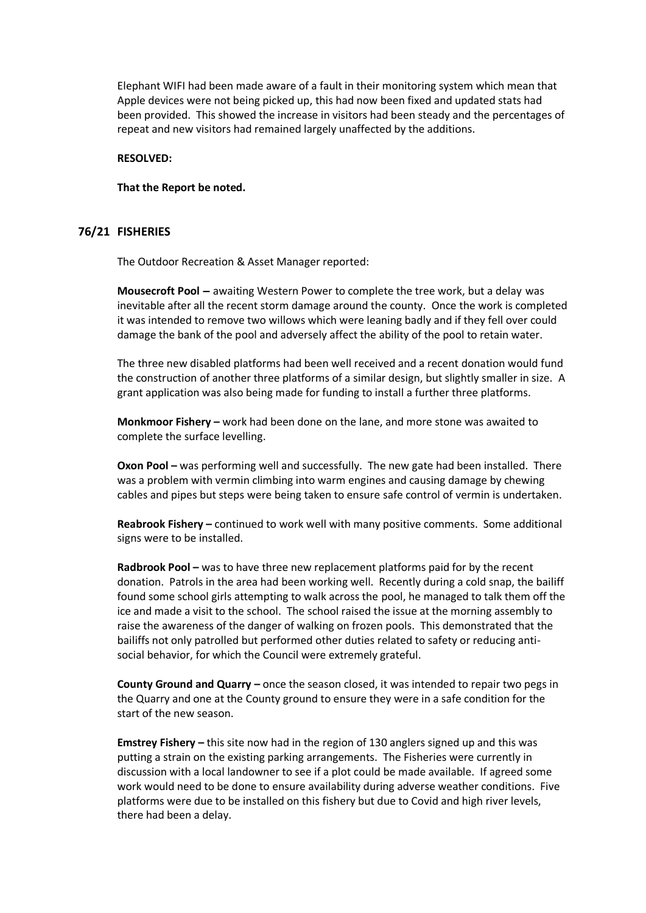Elephant WIFI had been made aware of a fault in their monitoring system which mean that Apple devices were not being picked up, this had now been fixed and updated stats had been provided. This showed the increase in visitors had been steady and the percentages of repeat and new visitors had remained largely unaffected by the additions.

### **RESOLVED:**

#### **That the Report be noted.**

### **76/21 FISHERIES**

The Outdoor Recreation & Asset Manager reported:

**Mousecroft Pool –** awaiting Western Power to complete the tree work, but a delay was inevitable after all the recent storm damage around the county. Once the work is completed it was intended to remove two willows which were leaning badly and if they fell over could damage the bank of the pool and adversely affect the ability of the pool to retain water.

The three new disabled platforms had been well received and a recent donation would fund the construction of another three platforms of a similar design, but slightly smaller in size. A grant application was also being made for funding to install a further three platforms.

**Monkmoor Fishery –** work had been done on the lane, and more stone was awaited to complete the surface levelling.

**Oxon Pool –** was performing well and successfully. The new gate had been installed. There was a problem with vermin climbing into warm engines and causing damage by chewing cables and pipes but steps were being taken to ensure safe control of vermin is undertaken.

**Reabrook Fishery –** continued to work well with many positive comments. Some additional signs were to be installed.

**Radbrook Pool –** was to have three new replacement platforms paid for by the recent donation. Patrols in the area had been working well. Recently during a cold snap, the bailiff found some school girls attempting to walk across the pool, he managed to talk them off the ice and made a visit to the school. The school raised the issue at the morning assembly to raise the awareness of the danger of walking on frozen pools. This demonstrated that the bailiffs not only patrolled but performed other duties related to safety or reducing antisocial behavior, for which the Council were extremely grateful.

**County Ground and Quarry –** once the season closed, it was intended to repair two pegs in the Quarry and one at the County ground to ensure they were in a safe condition for the start of the new season.

**Emstrey Fishery –** this site now had in the region of 130 anglers signed up and this was putting a strain on the existing parking arrangements. The Fisheries were currently in discussion with a local landowner to see if a plot could be made available. If agreed some work would need to be done to ensure availability during adverse weather conditions. Five platforms were due to be installed on this fishery but due to Covid and high river levels, there had been a delay.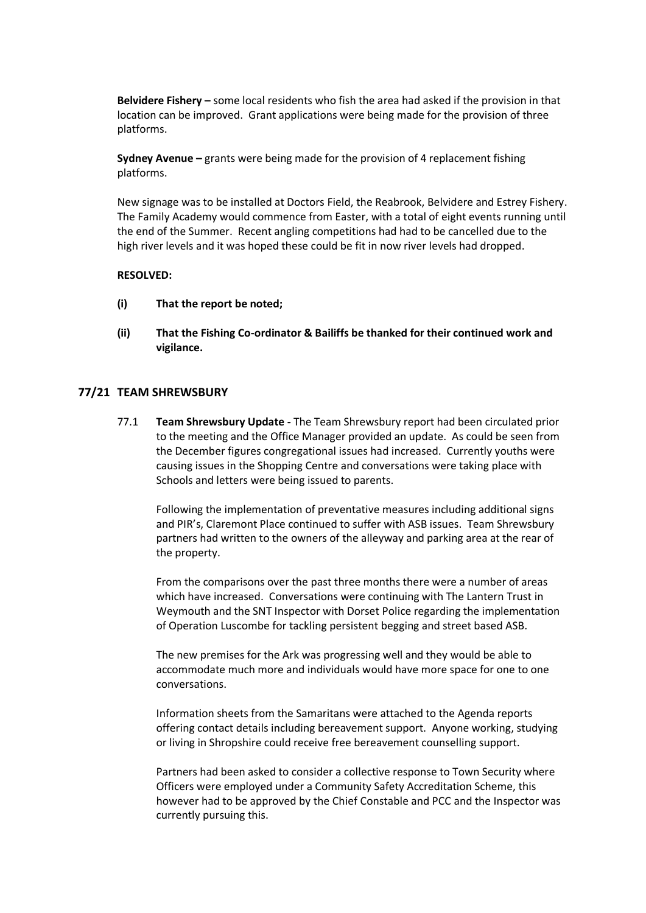**Belvidere Fishery –** some local residents who fish the area had asked if the provision in that location can be improved. Grant applications were being made for the provision of three platforms.

**Sydney Avenue –** grants were being made for the provision of 4 replacement fishing platforms.

New signage was to be installed at Doctors Field, the Reabrook, Belvidere and Estrey Fishery. The Family Academy would commence from Easter, with a total of eight events running until the end of the Summer. Recent angling competitions had had to be cancelled due to the high river levels and it was hoped these could be fit in now river levels had dropped.

## **RESOLVED:**

- **(i) That the report be noted;**
- **(ii) That the Fishing Co-ordinator & Bailiffs be thanked for their continued work and vigilance.**

# **77/21 TEAM SHREWSBURY**

77.1 **Team Shrewsbury Update -** The Team Shrewsbury report had been circulated prior to the meeting and the Office Manager provided an update. As could be seen from the December figures congregational issues had increased. Currently youths were causing issues in the Shopping Centre and conversations were taking place with Schools and letters were being issued to parents.

Following the implementation of preventative measures including additional signs and PIR's, Claremont Place continued to suffer with ASB issues. Team Shrewsbury partners had written to the owners of the alleyway and parking area at the rear of the property.

From the comparisons over the past three months there were a number of areas which have increased. Conversations were continuing with The Lantern Trust in Weymouth and the SNT Inspector with Dorset Police regarding the implementation of Operation Luscombe for tackling persistent begging and street based ASB.

The new premises for the Ark was progressing well and they would be able to accommodate much more and individuals would have more space for one to one conversations.

Information sheets from the Samaritans were attached to the Agenda reports offering contact details including bereavement support. Anyone working, studying or living in Shropshire could receive free bereavement counselling support.

Partners had been asked to consider a collective response to Town Security where Officers were employed under a Community Safety Accreditation Scheme, this however had to be approved by the Chief Constable and PCC and the Inspector was currently pursuing this.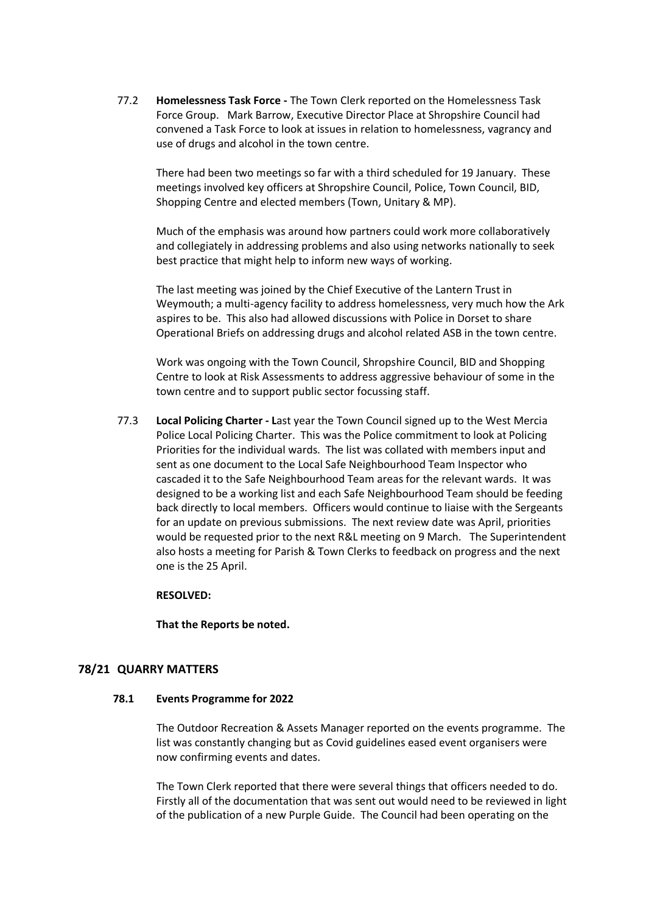77.2 **Homelessness Task Force -** The Town Clerk reported on the Homelessness Task Force Group. Mark Barrow, Executive Director Place at Shropshire Council had convened a Task Force to look at issues in relation to homelessness, vagrancy and use of drugs and alcohol in the town centre.

There had been two meetings so far with a third scheduled for 19 January. These meetings involved key officers at Shropshire Council, Police, Town Council, BID, Shopping Centre and elected members (Town, Unitary & MP).

Much of the emphasis was around how partners could work more collaboratively and collegiately in addressing problems and also using networks nationally to seek best practice that might help to inform new ways of working.

The last meeting was joined by the Chief Executive of the Lantern Trust in Weymouth; a multi-agency facility to address homelessness, very much how the Ark aspires to be. This also had allowed discussions with Police in Dorset to share Operational Briefs on addressing drugs and alcohol related ASB in the town centre.

Work was ongoing with the Town Council, Shropshire Council, BID and Shopping Centre to look at Risk Assessments to address aggressive behaviour of some in the town centre and to support public sector focussing staff.

77.3 **Local Policing Charter - L**ast year the Town Council signed up to the West Mercia Police Local Policing Charter. This was the Police commitment to look at Policing Priorities for the individual wards. The list was collated with members input and sent as one document to the Local Safe Neighbourhood Team Inspector who cascaded it to the Safe Neighbourhood Team areas for the relevant wards. It was designed to be a working list and each Safe Neighbourhood Team should be feeding back directly to local members. Officers would continue to liaise with the Sergeants for an update on previous submissions. The next review date was April, priorities would be requested prior to the next R&L meeting on 9 March. The Superintendent also hosts a meeting for Parish & Town Clerks to feedback on progress and the next one is the 25 April.

## **RESOLVED:**

**That the Reports be noted.**

## **78/21 QUARRY MATTERS**

## **78.1 Events Programme for 2022**

The Outdoor Recreation & Assets Manager reported on the events programme. The list was constantly changing but as Covid guidelines eased event organisers were now confirming events and dates.

The Town Clerk reported that there were several things that officers needed to do. Firstly all of the documentation that was sent out would need to be reviewed in light of the publication of a new Purple Guide. The Council had been operating on the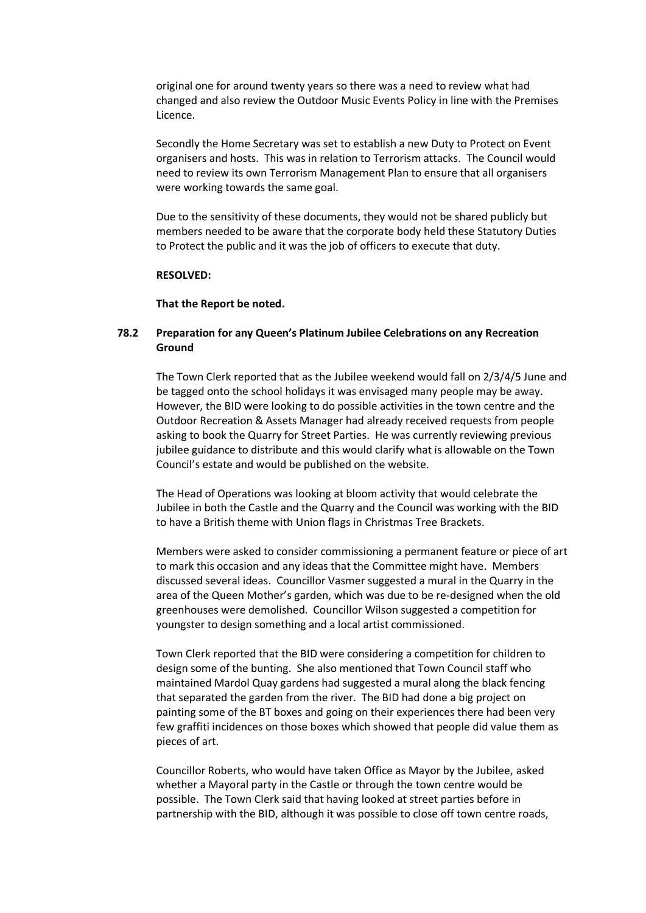original one for around twenty years so there was a need to review what had changed and also review the Outdoor Music Events Policy in line with the Premises Licence.

Secondly the Home Secretary was set to establish a new Duty to Protect on Event organisers and hosts. This was in relation to Terrorism attacks. The Council would need to review its own Terrorism Management Plan to ensure that all organisers were working towards the same goal.

Due to the sensitivity of these documents, they would not be shared publicly but members needed to be aware that the corporate body held these Statutory Duties to Protect the public and it was the job of officers to execute that duty.

#### **RESOLVED:**

### **That the Report be noted.**

# **78.2 Preparation for any Queen's Platinum Jubilee Celebrations on any Recreation Ground**

The Town Clerk reported that as the Jubilee weekend would fall on 2/3/4/5 June and be tagged onto the school holidays it was envisaged many people may be away. However, the BID were looking to do possible activities in the town centre and the Outdoor Recreation & Assets Manager had already received requests from people asking to book the Quarry for Street Parties. He was currently reviewing previous jubilee guidance to distribute and this would clarify what is allowable on the Town Council's estate and would be published on the website.

The Head of Operations was looking at bloom activity that would celebrate the Jubilee in both the Castle and the Quarry and the Council was working with the BID to have a British theme with Union flags in Christmas Tree Brackets.

Members were asked to consider commissioning a permanent feature or piece of art to mark this occasion and any ideas that the Committee might have. Members discussed several ideas. Councillor Vasmer suggested a mural in the Quarry in the area of the Queen Mother's garden, which was due to be re-designed when the old greenhouses were demolished. Councillor Wilson suggested a competition for youngster to design something and a local artist commissioned.

Town Clerk reported that the BID were considering a competition for children to design some of the bunting. She also mentioned that Town Council staff who maintained Mardol Quay gardens had suggested a mural along the black fencing that separated the garden from the river. The BID had done a big project on painting some of the BT boxes and going on their experiences there had been very few graffiti incidences on those boxes which showed that people did value them as pieces of art.

Councillor Roberts, who would have taken Office as Mayor by the Jubilee, asked whether a Mayoral party in the Castle or through the town centre would be possible. The Town Clerk said that having looked at street parties before in partnership with the BID, although it was possible to close off town centre roads,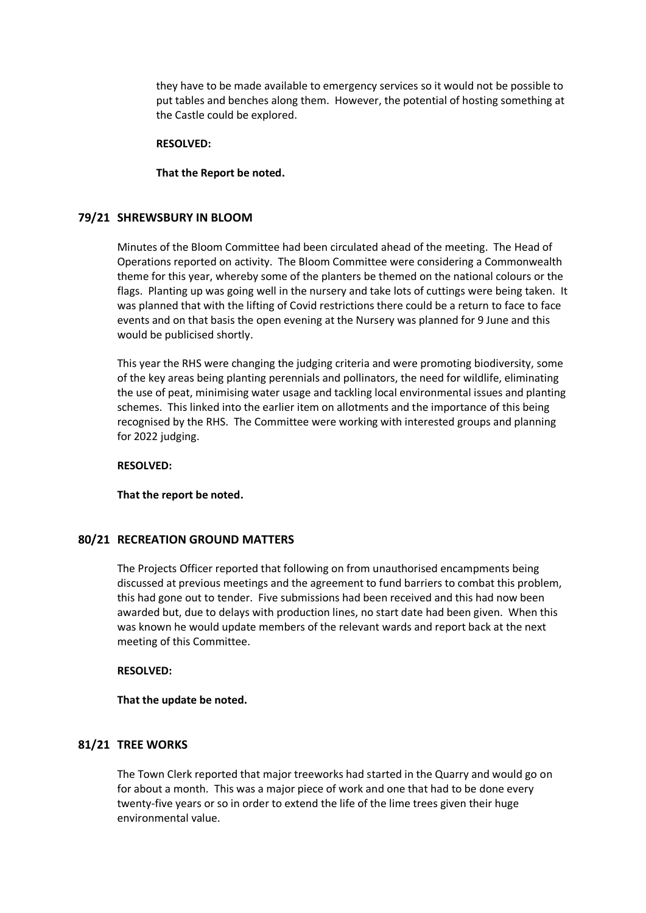they have to be made available to emergency services so it would not be possible to put tables and benches along them. However, the potential of hosting something at the Castle could be explored.

#### **RESOLVED:**

### **That the Report be noted.**

## **79/21 SHREWSBURY IN BLOOM**

Minutes of the Bloom Committee had been circulated ahead of the meeting. The Head of Operations reported on activity. The Bloom Committee were considering a Commonwealth theme for this year, whereby some of the planters be themed on the national colours or the flags. Planting up was going well in the nursery and take lots of cuttings were being taken. It was planned that with the lifting of Covid restrictions there could be a return to face to face events and on that basis the open evening at the Nursery was planned for 9 June and this would be publicised shortly.

This year the RHS were changing the judging criteria and were promoting biodiversity, some of the key areas being planting perennials and pollinators, the need for wildlife, eliminating the use of peat, minimising water usage and tackling local environmental issues and planting schemes. This linked into the earlier item on allotments and the importance of this being recognised by the RHS. The Committee were working with interested groups and planning for 2022 judging.

## **RESOLVED:**

**That the report be noted.**

## **80/21 RECREATION GROUND MATTERS**

The Projects Officer reported that following on from unauthorised encampments being discussed at previous meetings and the agreement to fund barriers to combat this problem, this had gone out to tender. Five submissions had been received and this had now been awarded but, due to delays with production lines, no start date had been given. When this was known he would update members of the relevant wards and report back at the next meeting of this Committee.

## **RESOLVED:**

#### **That the update be noted.**

# **81/21 TREE WORKS**

The Town Clerk reported that major treeworks had started in the Quarry and would go on for about a month. This was a major piece of work and one that had to be done every twenty-five years or so in order to extend the life of the lime trees given their huge environmental value.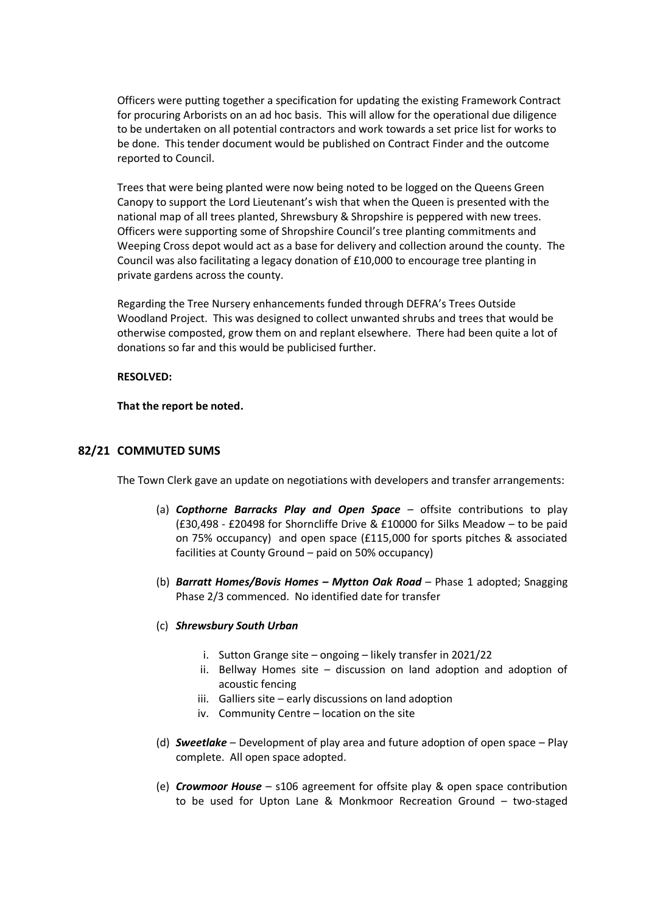Officers were putting together a specification for updating the existing Framework Contract for procuring Arborists on an ad hoc basis. This will allow for the operational due diligence to be undertaken on all potential contractors and work towards a set price list for works to be done. This tender document would be published on Contract Finder and the outcome reported to Council.

Trees that were being planted were now being noted to be logged on the Queens Green Canopy to support the Lord Lieutenant's wish that when the Queen is presented with the national map of all trees planted, Shrewsbury & Shropshire is peppered with new trees. Officers were supporting some of Shropshire Council's tree planting commitments and Weeping Cross depot would act as a base for delivery and collection around the county. The Council was also facilitating a legacy donation of £10,000 to encourage tree planting in private gardens across the county.

Regarding the Tree Nursery enhancements funded through DEFRA's Trees Outside Woodland Project. This was designed to collect unwanted shrubs and trees that would be otherwise composted, grow them on and replant elsewhere. There had been quite a lot of donations so far and this would be publicised further.

### **RESOLVED:**

**That the report be noted.**

## **82/21 COMMUTED SUMS**

The Town Clerk gave an update on negotiations with developers and transfer arrangements:

- (a) *Copthorne Barracks Play and Open Space* offsite contributions to play (£30,498 - £20498 for Shorncliffe Drive & £10000 for Silks Meadow – to be paid on 75% occupancy) and open space (£115,000 for sports pitches & associated facilities at County Ground – paid on 50% occupancy)
- (b) *Barratt Homes/Bovis Homes – Mytton Oak Road* Phase 1 adopted; Snagging Phase 2/3 commenced. No identified date for transfer
- (c) *Shrewsbury South Urban*
	- i. Sutton Grange site ongoing likely transfer in 2021/22
	- ii. Bellway Homes site discussion on land adoption and adoption of acoustic fencing
	- iii. Galliers site early discussions on land adoption
	- iv. Community Centre location on the site
- (d) *Sweetlake* Development of play area and future adoption of open space Play complete. All open space adopted.
- (e) *Crowmoor House* s106 agreement for offsite play & open space contribution to be used for Upton Lane & Monkmoor Recreation Ground – two-staged